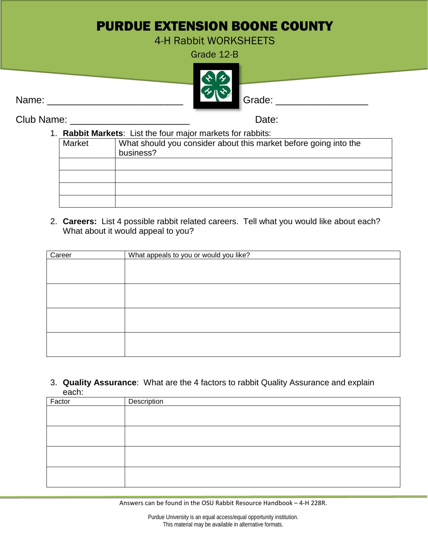## PURDUE EXTENSION BOONE COUNTY

4-H Rabbit WORKSHEETS

Grade 12-B



Club Name: \_\_\_\_\_\_\_\_\_\_\_\_\_\_\_\_\_\_\_\_\_\_ Date:

| 1. | <b>Rabbit Markets:</b> List the four major markets for rabbits: |                                                                  |  |  |
|----|-----------------------------------------------------------------|------------------------------------------------------------------|--|--|
|    | Market                                                          | What should you consider about this market before going into the |  |  |
|    |                                                                 | business?                                                        |  |  |
|    |                                                                 |                                                                  |  |  |
|    |                                                                 |                                                                  |  |  |
|    |                                                                 |                                                                  |  |  |
|    |                                                                 |                                                                  |  |  |
|    |                                                                 |                                                                  |  |  |

2. **Careers:** List 4 possible rabbit related careers. Tell what you would like about each? What about it would appeal to you?

| Career | What appeals to you or would you like? |
|--------|----------------------------------------|
|        |                                        |
|        |                                        |
|        |                                        |
|        |                                        |
|        |                                        |
|        |                                        |
|        |                                        |
|        |                                        |
|        |                                        |
|        |                                        |
|        |                                        |

3. **Quality Assurance**: What are the 4 factors to rabbit Quality Assurance and explain each:

| Factor | Description |
|--------|-------------|
|        |             |
|        |             |
|        |             |
|        |             |
|        |             |
|        |             |
|        |             |
|        |             |

Answers can be found in the OSU Rabbit Resource Handbook – 4-H 228R.